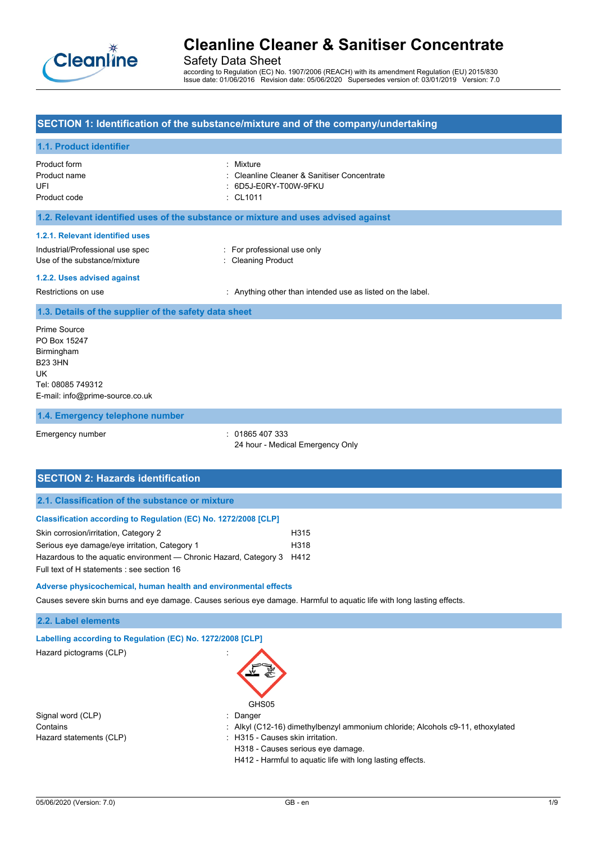

Safety Data Sheet

according to Regulation (EC) No. 1907/2006 (REACH) with its amendment Regulation (EU) 2015/830 Issue date: 01/06/2016 Revision date: 05/06/2020 Supersedes version of: 03/01/2019 Version: 7.0

### **SECTION 1: Identification of the substance/mixture and of the company/undertaking**

### **1.1. Product identifier**

| Product form<br>Product name<br>UFI<br>Product code                                                                                | Mixture<br>Cleanline Cleaner & Sanitiser Concentrate<br>6D5J-E0RY-T00W-9FKU<br>$\therefore$ CL1011 |
|------------------------------------------------------------------------------------------------------------------------------------|----------------------------------------------------------------------------------------------------|
| 1.2. Relevant identified uses of the substance or mixture and uses advised against                                                 |                                                                                                    |
| 1.2.1. Relevant identified uses<br>Industrial/Professional use spec<br>Use of the substance/mixture<br>1.2.2. Uses advised against | : For professional use only<br>: Cleaning Product                                                  |
| Restrictions on use                                                                                                                | Anything other than intended use as listed on the label.                                           |
| 1.3. Details of the supplier of the safety data sheet                                                                              |                                                                                                    |
| Prime Source<br>PO Box 15247<br>Birmingham<br><b>B23 3HN</b><br>UK.<br>Tel: 08085 749312<br>E-mail: info@prime-source.co.uk        |                                                                                                    |
| 1.4. Emergency telephone number                                                                                                    |                                                                                                    |

Emergency number : 01865 407 333 24 hour - Medical Emergency Only

## **SECTION 2: Hazards identification**

## **Classification according to Regulation (EC) No. 1272/2008 [CLP]**

| Skin corrosion/irritation, Category 2                                  | H315 |
|------------------------------------------------------------------------|------|
| Serious eye damage/eye irritation, Category 1                          | H318 |
| Hazardous to the aguatic environment — Chronic Hazard, Category 3 H412 |      |
| Full text of H statements : see section 16                             |      |

**Adverse physicochemical, human health and environmental effects**

Causes severe skin burns and eye damage. Causes serious eye damage. Harmful to aquatic life with long lasting effects.

#### **2.2. Label elements**

| Labelling according to Regulation (EC) No. 1272/2008 [CLP] |                                                                                |
|------------------------------------------------------------|--------------------------------------------------------------------------------|
| Hazard pictograms (CLP)                                    |                                                                                |
|                                                            | GHS05                                                                          |
| Signal word (CLP)                                          | Danger                                                                         |
| Contains                                                   | : Alkyl (C12-16) dimethylbenzyl ammonium chloride; Alcohols c9-11, ethoxylated |
| Hazard statements (CLP)                                    | H315 - Causes skin irritation.                                                 |
|                                                            | H318 - Causes serious eye damage.                                              |
|                                                            | H412 - Harmful to aquatic life with long lasting effects.                      |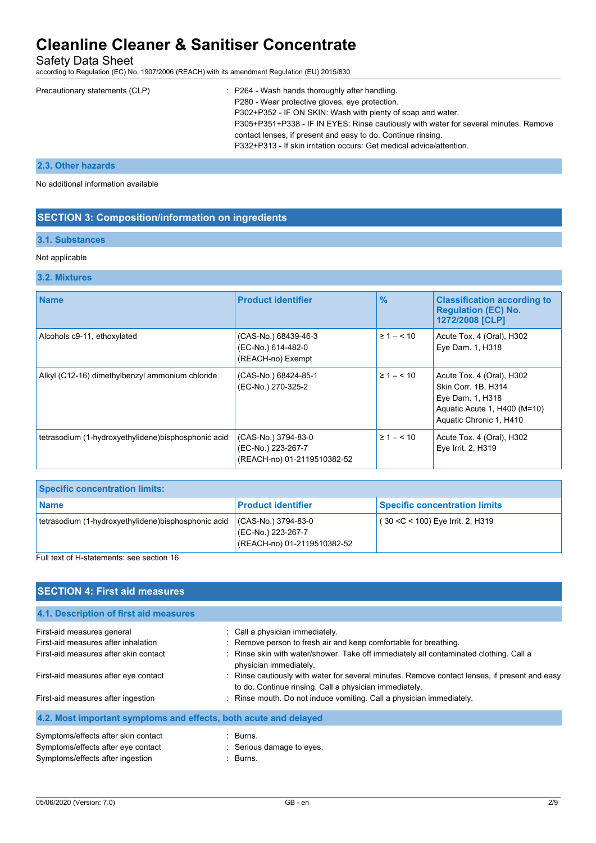Safety Data Sheet

according to Regulation (EC) No. 1907/2006 (REACH) with its amendment Regulation (EU) 2015/830

| Precautionary statements (CLP) | : P264 - Wash hands thoroughly after handling.                                       |
|--------------------------------|--------------------------------------------------------------------------------------|
|                                | P280 - Wear protective gloves, eye protection.                                       |
|                                | P302+P352 - IF ON SKIN: Wash with plenty of soap and water.                          |
|                                | P305+P351+P338 - IF IN EYES: Rinse cautiously with water for several minutes. Remove |
|                                | contact lenses, if present and easy to do. Continue rinsing.                         |
|                                | P332+P313 - If skin irritation occurs: Get medical advice/attention.                 |
|                                |                                                                                      |

# **2.3. Other hazards**

No additional information available

## **SECTION 3: Composition/information on ingredients**

### **3.1. Substances**

#### Not applicable

#### **3.2. Mixtures**

| <b>Name</b>                                         | <b>Product identifier</b>                                                | $\frac{9}{6}$      | <b>Classification according to</b><br><b>Regulation (EC) No.</b><br>1272/2008 [CLP]                                             |
|-----------------------------------------------------|--------------------------------------------------------------------------|--------------------|---------------------------------------------------------------------------------------------------------------------------------|
| Alcohols c9-11, ethoxylated                         | (CAS-No.) 68439-46-3<br>(EC-No.) 614-482-0<br>(REACH-no) Exempt          | $\geq 1 - \leq 10$ | Acute Tox. 4 (Oral), H302<br>Eye Dam. 1, H318                                                                                   |
| Alkyl (C12-16) dimethylbenzyl ammonium chloride     | (CAS-No.) 68424-85-1<br>(EC-No.) 270-325-2                               | $\geq 1 - \leq 10$ | Acute Tox. 4 (Oral), H302<br>Skin Corr. 1B, H314<br>Eye Dam. 1, H318<br>Aquatic Acute 1, H400 (M=10)<br>Aquatic Chronic 1, H410 |
| tetrasodium (1-hydroxyethylidene)bisphosphonic acid | (CAS-No.) 3794-83-0<br>(EC-No.) 223-267-7<br>(REACH-no) 01-2119510382-52 | $\geq 1 - \leq 10$ | Acute Tox. 4 (Oral), H302<br>Eye Irrit. 2, H319                                                                                 |

| <b>Specific concentration limits:</b>                |                                                                          |                                      |
|------------------------------------------------------|--------------------------------------------------------------------------|--------------------------------------|
| Name                                                 | Product identifier                                                       | <b>Specific concentration limits</b> |
| tetrasodium (1-hydroxyethylidene) bisphosphonic acid | (CAS-No.) 3794-83-0<br>(EC-No.) 223-267-7<br>(REACH-no) 01-2119510382-52 | $(30 < C < 100)$ Eye Irrit. 2, H319  |

Full text of H-statements: see section 16

## **SECTION 4: First aid measures**

| 4.1. Description of first aid measures                           |                                                                                                                                                         |
|------------------------------------------------------------------|---------------------------------------------------------------------------------------------------------------------------------------------------------|
| First-aid measures general                                       | : Call a physician immediately.                                                                                                                         |
| First-aid measures after inhalation                              | : Remove person to fresh air and keep comfortable for breathing.                                                                                        |
| First-aid measures after skin contact                            | : Rinse skin with water/shower. Take off immediately all contaminated clothing. Call a<br>physician immediately.                                        |
| First-aid measures after eye contact                             | : Rinse cautiously with water for several minutes. Remove contact lenses, if present and easy<br>to do. Continue rinsing. Call a physician immediately. |
| First-aid measures after ingestion                               | : Rinse mouth. Do not induce vomiting. Call a physician immediately.                                                                                    |
| 4.2. Most important symptoms and effects, both acute and delayed |                                                                                                                                                         |
| Symptoms/effects after skin contact                              | : Burns.                                                                                                                                                |
| Symptoms/effects after eye contact                               | : Serious damage to eyes.                                                                                                                               |
| Symptoms/effects after ingestion                                 | : Burns.                                                                                                                                                |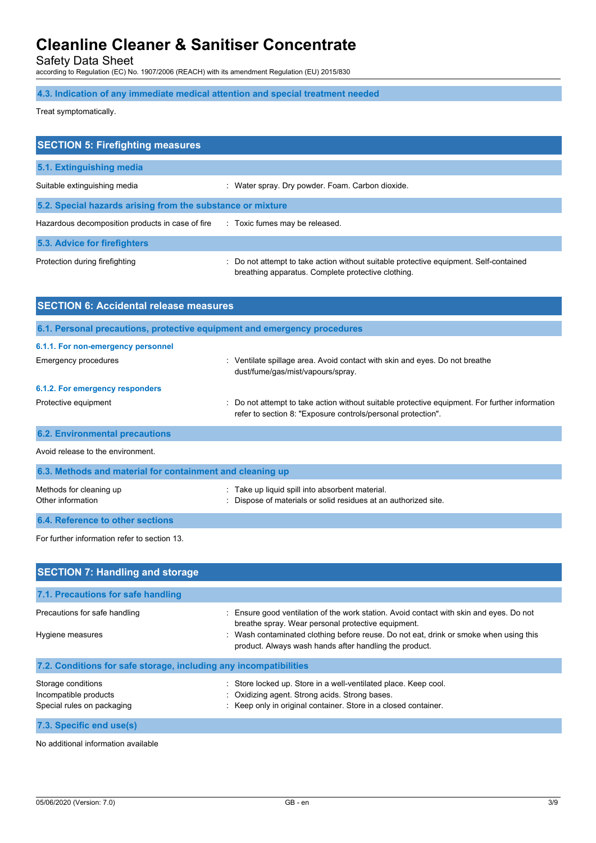Safety Data Sheet

according to Regulation (EC) No. 1907/2006 (REACH) with its amendment Regulation (EU) 2015/830

## **4.3. Indication of any immediate medical attention and special treatment needed**

Treat symptomatically.

| <b>SECTION 5: Firefighting measures</b>                    |                                                                                                                                             |
|------------------------------------------------------------|---------------------------------------------------------------------------------------------------------------------------------------------|
| 5.1. Extinguishing media                                   |                                                                                                                                             |
| Suitable extinguishing media                               | : Water spray. Dry powder. Foam. Carbon dioxide.                                                                                            |
| 5.2. Special hazards arising from the substance or mixture |                                                                                                                                             |
| Hazardous decomposition products in case of fire           | : Toxic fumes may be released.                                                                                                              |
| 5.3. Advice for firefighters                               |                                                                                                                                             |
| Protection during firefighting                             | : Do not attempt to take action without suitable protective equipment. Self-contained<br>breathing apparatus. Complete protective clothing. |

| <b>SECTION 6: Accidental release measures</b>             |                                                                                                                                                                |
|-----------------------------------------------------------|----------------------------------------------------------------------------------------------------------------------------------------------------------------|
|                                                           | 6.1. Personal precautions, protective equipment and emergency procedures                                                                                       |
| 6.1.1. For non-emergency personnel                        |                                                                                                                                                                |
| <b>Emergency procedures</b>                               | Ventilate spillage area. Avoid contact with skin and eyes. Do not breathe<br>dust/fume/gas/mist/vapours/spray.                                                 |
| 6.1.2. For emergency responders                           |                                                                                                                                                                |
| Protective equipment                                      | : Do not attempt to take action without suitable protective equipment. For further information<br>refer to section 8: "Exposure controls/personal protection". |
| <b>6.2. Environmental precautions</b>                     |                                                                                                                                                                |
| Avoid release to the environment.                         |                                                                                                                                                                |
| 6.3. Methods and material for containment and cleaning up |                                                                                                                                                                |
| Methods for cleaning up<br>Other information              | : Take up liquid spill into absorbent material.<br>Dispose of materials or solid residues at an authorized site.                                               |
| 6.4. Reference to other sections                          |                                                                                                                                                                |
| For further information refer to section 13.              |                                                                                                                                                                |

| <b>SECTION 7: Handling and storage</b>                                    |                                                                                                                                                                                      |
|---------------------------------------------------------------------------|--------------------------------------------------------------------------------------------------------------------------------------------------------------------------------------|
| 7.1. Precautions for safe handling                                        |                                                                                                                                                                                      |
| Precautions for safe handling                                             | : Ensure good ventilation of the work station. Avoid contact with skin and eyes. Do not<br>breathe spray. Wear personal protective equipment.                                        |
| Hygiene measures                                                          | : Wash contaminated clothing before reuse. Do not eat, drink or smoke when using this<br>product. Always wash hands after handling the product.                                      |
| 7.2. Conditions for safe storage, including any incompatibilities         |                                                                                                                                                                                      |
| Storage conditions<br>Incompatible products<br>Special rules on packaging | : Store locked up. Store in a well-ventilated place. Keep cool.<br>: Oxidizing agent. Strong acids. Strong bases.<br>: Keep only in original container. Store in a closed container. |
| 7.3. Specific end use(s)                                                  |                                                                                                                                                                                      |

No additional information available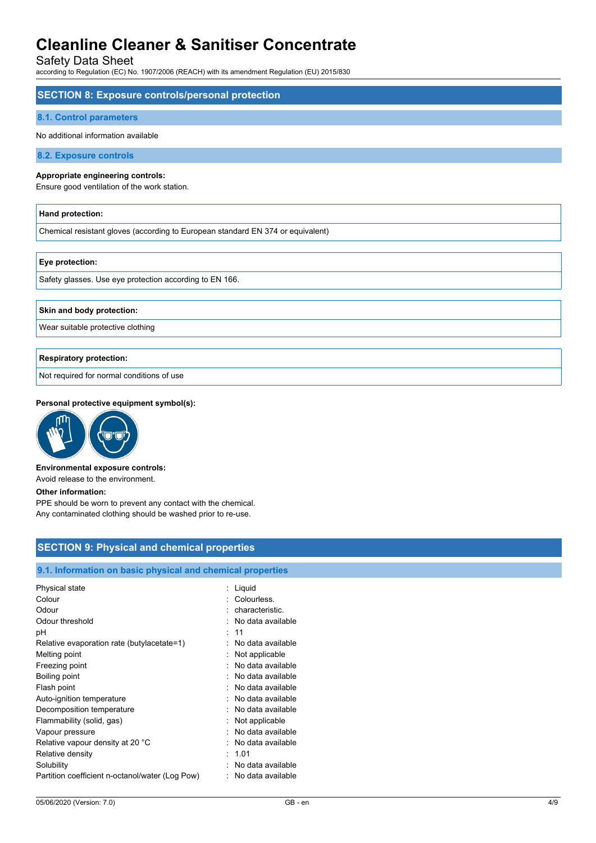Safety Data Sheet

according to Regulation (EC) No. 1907/2006 (REACH) with its amendment Regulation (EU) 2015/830

| <b>SECTION 8: Exposure controls/personal protection</b>                           |
|-----------------------------------------------------------------------------------|
| <b>8.1. Control parameters</b>                                                    |
| No additional information available                                               |
| 8.2. Exposure controls                                                            |
| Appropriate engineering controls:<br>Ensure good ventilation of the work station. |
| Hand protection:                                                                  |
| Chemical resistant gloves (according to European standard EN 374 or equivalent)   |
| Eye protection:                                                                   |
| Safety glasses. Use eye protection according to EN 166.                           |
| Skin and body protection:                                                         |
| Wear suitable protective clothing                                                 |
|                                                                                   |

### **Respiratory protection:**

Not required for normal conditions of use

#### **Personal protective equipment symbol(s):**



#### **Environmental exposure controls:**

Avoid release to the environment.

#### **Other information:**

PPE should be worn to prevent any contact with the chemical. Any contaminated clothing should be washed prior to re-use.

## **SECTION 9: Physical and chemical properties**

### **9.1. Information on basic physical and chemical properties**

| Physical state                                       | Liquid                                 |
|------------------------------------------------------|----------------------------------------|
| Colour                                               | Colourless.                            |
| Odour                                                | characteristic.                        |
| Odour threshold                                      | No data available                      |
| рH                                                   | : 11                                   |
| Relative evaporation rate (butylacetate=1)           | No data available                      |
| Melting point                                        | Not applicable                         |
| Freezing point                                       | No data available                      |
| Boiling point                                        | : No data available                    |
| Flash point                                          | : No data available                    |
| Auto-ignition temperature                            | : No data available                    |
| Decomposition temperature                            | : No data available                    |
| Flammability (solid, gas)                            | Not applicable                         |
| Vapour pressure                                      | No data available<br>No data available |
| Relative vapour density at 20 °C<br>Relative density | : 1.01                                 |
| Solubility                                           | No data available                      |
| Partition coefficient n-octanol/water (Log Pow)      | No data available                      |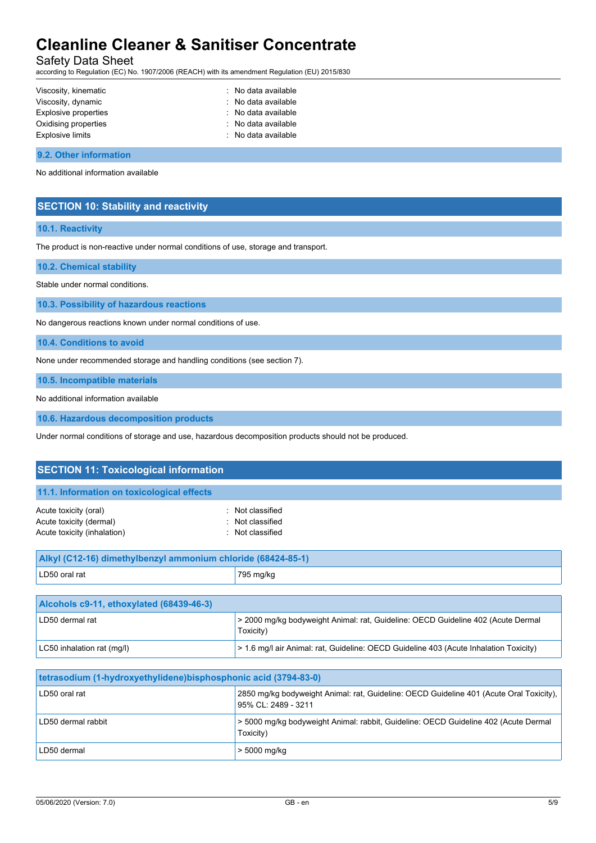Safety Data Sheet

according to Regulation (EC) No. 1907/2006 (REACH) with its amendment Regulation (EU) 2015/830

| Viscosity, kinematic    | : No data available |
|-------------------------|---------------------|
| Viscosity, dynamic      | : No data available |
| Explosive properties    | : No data available |
| Oxidising properties    | : No data available |
| <b>Explosive limits</b> | : No data available |

#### **9.2. Other information**

No additional information available

### **SECTION 10: Stability and reactivity**

#### **10.1. Reactivity**

The product is non-reactive under normal conditions of use, storage and transport.

**10.2. Chemical stability**

Stable under normal conditions.

**10.3. Possibility of hazardous reactions**

No dangerous reactions known under normal conditions of use.

**10.4. Conditions to avoid**

None under recommended storage and handling conditions (see section 7).

**10.5. Incompatible materials**

No additional information available

**10.6. Hazardous decomposition products**

Under normal conditions of storage and use, hazardous decomposition products should not be produced.

| <b>SECTION 11: Toxicological information</b>                                    |                                                                                               |  |  |
|---------------------------------------------------------------------------------|-----------------------------------------------------------------------------------------------|--|--|
| 11.1. Information on toxicological effects                                      |                                                                                               |  |  |
| Acute toxicity (oral)<br>Acute toxicity (dermal)<br>Acute toxicity (inhalation) | : Not classified<br>: Not classified<br>: Not classified                                      |  |  |
| Alkyl (C12-16) dimethylbenzyl ammonium chloride (68424-85-1)                    |                                                                                               |  |  |
| LD50 oral rat                                                                   | 795 mg/kg                                                                                     |  |  |
| Alcohols c9-11, ethoxylated (68439-46-3)                                        |                                                                                               |  |  |
| LD50 dermal rat                                                                 | > 2000 mg/kg bodyweight Animal: rat, Guideline: OECD Guideline 402 (Acute Dermal<br>Toxicity) |  |  |
| LC50 inhalation rat (mg/l)                                                      | > 1.6 mg/l air Animal: rat, Guideline: OECD Guideline 403 (Acute Inhalation Toxicity)         |  |  |
|                                                                                 |                                                                                               |  |  |

| tetrasodium (1-hydroxyethylidene)bisphosphonic acid (3794-83-0) |                                                                                                                |  |
|-----------------------------------------------------------------|----------------------------------------------------------------------------------------------------------------|--|
| LD50 oral rat                                                   | 2850 mg/kg bodyweight Animal: rat, Guideline: OECD Guideline 401 (Acute Oral Toxicity),<br>95% CL: 2489 - 3211 |  |
| LD50 dermal rabbit                                              | > 5000 mg/kg bodyweight Animal: rabbit, Guideline: OECD Guideline 402 (Acute Dermal<br>Toxicity)               |  |
| LD50 dermal                                                     | , > 5000 mg/kg                                                                                                 |  |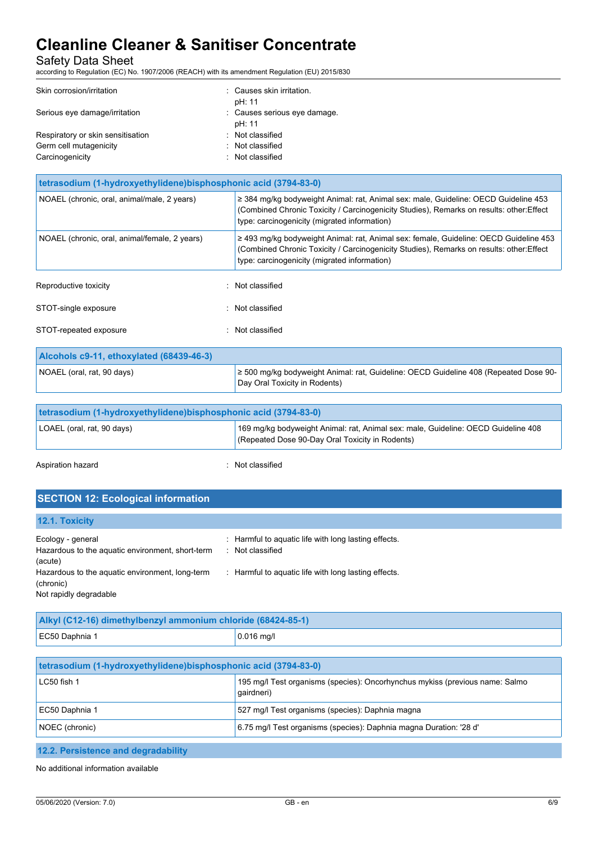Safety Data Sheet

according to Regulation (EC) No. 1907/2006 (REACH) with its amendment Regulation (EU) 2015/830

| Skin corrosion/irritation         | : Causes skin irritation.    |
|-----------------------------------|------------------------------|
|                                   | pH: 11                       |
| Serious eye damage/irritation     | : Causes serious eye damage. |
|                                   | pH: 11                       |
| Respiratory or skin sensitisation | : Not classified             |
| Germ cell mutagenicity            | : Not classified             |
| Carcinogenicity                   | : Not classified             |

| tetrasodium (1-hydroxyethylidene) bisphosphonic acid (3794-83-0) |                                                                                                                                                                                                                                        |  |  |
|------------------------------------------------------------------|----------------------------------------------------------------------------------------------------------------------------------------------------------------------------------------------------------------------------------------|--|--|
| NOAEL (chronic, oral, animal/male, 2 years)                      | $\geq$ 384 mg/kg bodyweight Animal: rat, Animal sex: male, Guideline: OECD Guideline 453<br>(Combined Chronic Toxicity / Carcinogenicity Studies), Remarks on results: other: Effect<br>type: carcinogenicity (migrated information)   |  |  |
| NOAEL (chronic, oral, animal/female, 2 years)                    | $\geq$ 493 mg/kg bodyweight Animal: rat, Animal sex: female, Guideline: OECD Guideline 453<br>(Combined Chronic Toxicity / Carcinogenicity Studies), Remarks on results: other: Effect<br>type: carcinogenicity (migrated information) |  |  |
| Reproductive toxicity                                            | : Not classified                                                                                                                                                                                                                       |  |  |
| STOT-single exposure                                             | Not classified                                                                                                                                                                                                                         |  |  |
| STOT-repeated exposure                                           | Not classified                                                                                                                                                                                                                         |  |  |
| Alcohols c9-11, ethoxylated (68439-46-3)                         |                                                                                                                                                                                                                                        |  |  |
| NOAEL (oral, rat, 90 days)                                       | $\geq$ 500 mg/kg bodyweight Animal: rat, Guideline: OECD Guideline 408 (Repeated Dose 90-<br>Day Oral Toxicity in Rodents)                                                                                                             |  |  |

| tetrasodium (1-hydroxyethylidene) bisphosphonic acid (3794-83-0) |                                                                                                                                      |  |
|------------------------------------------------------------------|--------------------------------------------------------------------------------------------------------------------------------------|--|
| LOAEL (oral, rat, 90 days)                                       | 169 mg/kg bodyweight Animal: rat, Animal sex: male, Guideline: OECD Guideline 408<br>(Repeated Dose 90-Day Oral Toxicity in Rodents) |  |
|                                                                  |                                                                                                                                      |  |

Aspiration hazard **in the set of the set of the set of the set of the set of the set of the set of the set of the set of the set of the set of the set of the set of the set of the set of the set of the set of the set of th** 

# **SECTION 12: Ecological information**

| 12.1. Toxicity                                              |                                                      |
|-------------------------------------------------------------|------------------------------------------------------|
| Ecology - general                                           | : Harmful to aquatic life with long lasting effects. |
| Hazardous to the aquatic environment, short-term<br>(acute) | : Not classified                                     |
| Hazardous to the aquatic environment, long-term             | : Harmful to aquatic life with long lasting effects. |
| (chronic)                                                   |                                                      |
| Not rapidly degradable                                      |                                                      |

| Alkyl (C12-16) dimethylbenzyl ammonium chloride (68424-85-1) |              |  |
|--------------------------------------------------------------|--------------|--|
| EC50 Daphnia 1                                               | $0.016$ mg/l |  |
|                                                              |              |  |

| tetrasodium (1-hydroxyethylidene) bisphosphonic acid (3794-83-0)                                                                                                                                                                    |                                                                                            |  |
|-------------------------------------------------------------------------------------------------------------------------------------------------------------------------------------------------------------------------------------|--------------------------------------------------------------------------------------------|--|
| LC50 fish 1                                                                                                                                                                                                                         | 195 mg/l Test organisms (species): Oncorhynchus mykiss (previous name: Salmo<br>qairdneri) |  |
| EC50 Daphnia 1                                                                                                                                                                                                                      | 527 mg/l Test organisms (species): Daphnia magna                                           |  |
| NOEC (chronic)                                                                                                                                                                                                                      | 6.75 mg/l Test organisms (species): Daphnia magna Duration: '28 d'                         |  |
|                                                                                                                                                                                                                                     |                                                                                            |  |
| <b>AOO</b> Department of the Head of the contract of the contract of the contract of the contract of the contract of the contract of the contract of the contract of the contract of the contract of the contract of the contract o |                                                                                            |  |

**12.2. Persistence and degradability**

No additional information available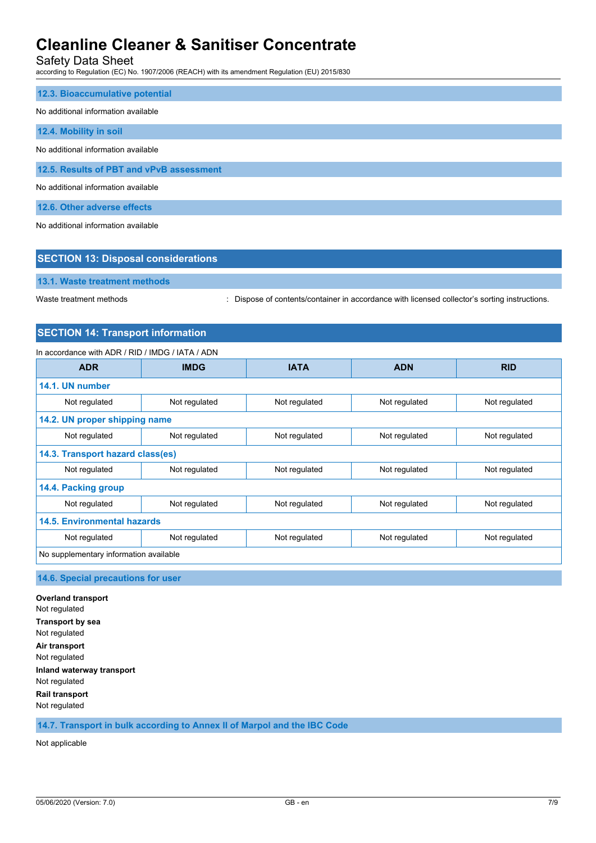Safety Data Sheet

according to Regulation (EC) No. 1907/2006 (REACH) with its amendment Regulation (EU) 2015/830

| 12.3. Bioaccumulative potential          |
|------------------------------------------|
| No additional information available      |
| 12.4. Mobility in soil                   |
| No additional information available      |
| 12.5. Results of PBT and vPvB assessment |
| No additional information available      |
| 12.6. Other adverse effects              |

No additional information available

| <b>SECTION 13: Disposal considerations</b> |  |  |
|--------------------------------------------|--|--|
| 13.1. Waste treatment methods              |  |  |

Waste treatment methods : Dispose of contents/container in accordance with licensed collector's sorting instructions.

# **SECTION 14: Transport information**

## In accordance with ADR / RID / IMDG / IATA / ADN

| <b>ADR</b>                             | <b>IMDG</b>   | <b>IATA</b>   | <b>ADN</b>    | <b>RID</b>    |  |
|----------------------------------------|---------------|---------------|---------------|---------------|--|
| 14.1. UN number                        |               |               |               |               |  |
| Not regulated                          | Not regulated | Not regulated | Not regulated | Not regulated |  |
| 14.2. UN proper shipping name          |               |               |               |               |  |
| Not regulated                          | Not regulated | Not regulated | Not regulated | Not regulated |  |
| 14.3. Transport hazard class(es)       |               |               |               |               |  |
| Not regulated                          | Not regulated | Not regulated | Not regulated | Not regulated |  |
| 14.4. Packing group                    |               |               |               |               |  |
| Not regulated                          | Not regulated | Not regulated | Not regulated | Not regulated |  |
| 14.5. Environmental hazards            |               |               |               |               |  |
| Not regulated                          | Not regulated | Not regulated | Not regulated | Not regulated |  |
| No supplementary information available |               |               |               |               |  |

## **14.6. Special precautions for user**

**Overland transport** Not regulated **Transport by sea** Not regulated **Air transport** Not regulated **Inland waterway transport** Not regulated **Rail transport** Not regulated

**14.7. Transport in bulk according to Annex II of Marpol and the IBC Code**

Not applicable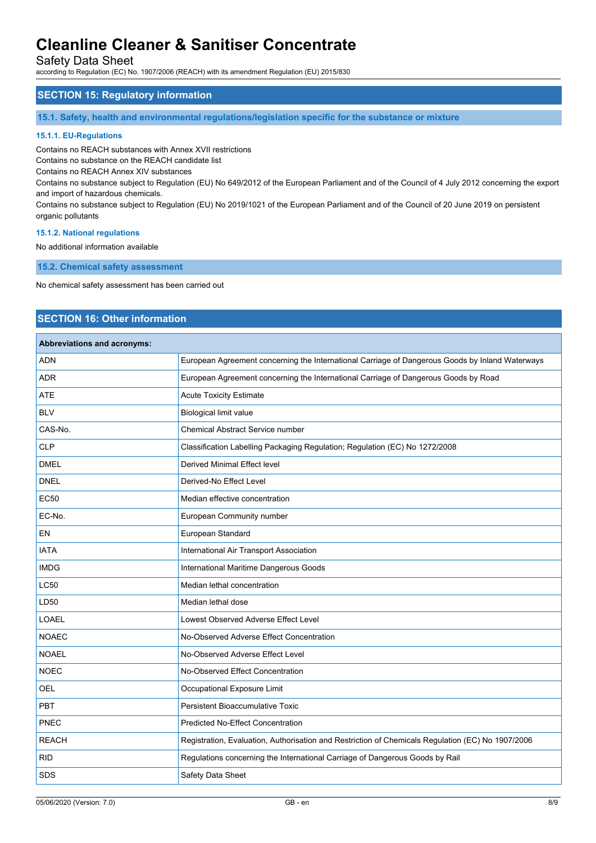Safety Data Sheet

according to Regulation (EC) No. 1907/2006 (REACH) with its amendment Regulation (EU) 2015/830

## **SECTION 15: Regulatory information**

**15.1. Safety, health and environmental regulations/legislation specific for the substance or mixture**

#### **15.1.1. EU-Regulations**

Contains no REACH substances with Annex XVII restrictions

Contains no substance on the REACH candidate list

Contains no REACH Annex XIV substances

Contains no substance subject to Regulation (EU) No 649/2012 of the European Parliament and of the Council of 4 July 2012 concerning the export and import of hazardous chemicals.

Contains no substance subject to Regulation (EU) No 2019/1021 of the European Parliament and of the Council of 20 June 2019 on persistent organic pollutants

#### **15.1.2. National regulations**

No additional information available

**15.2. Chemical safety assessment**

No chemical safety assessment has been carried out

## **SECTION 16: Other information**

#### **Abbreviations and acronyms:**

| ADN          | European Agreement concerning the International Carriage of Dangerous Goods by Inland Waterways   |
|--------------|---------------------------------------------------------------------------------------------------|
| <b>ADR</b>   | European Agreement concerning the International Carriage of Dangerous Goods by Road               |
| <b>ATE</b>   | <b>Acute Toxicity Estimate</b>                                                                    |
| <b>BLV</b>   | <b>Biological limit value</b>                                                                     |
| CAS-No.      | <b>Chemical Abstract Service number</b>                                                           |
| <b>CLP</b>   | Classification Labelling Packaging Regulation; Regulation (EC) No 1272/2008                       |
| <b>DMEL</b>  | <b>Derived Minimal Effect level</b>                                                               |
| <b>DNEL</b>  | Derived-No Effect Level                                                                           |
| <b>EC50</b>  | Median effective concentration                                                                    |
| EC-No.       | European Community number                                                                         |
| EN           | European Standard                                                                                 |
| <b>IATA</b>  | International Air Transport Association                                                           |
| <b>IMDG</b>  | International Maritime Dangerous Goods                                                            |
| <b>LC50</b>  | Median lethal concentration                                                                       |
| LD50         | Median lethal dose                                                                                |
| <b>LOAEL</b> | Lowest Observed Adverse Effect Level                                                              |
| <b>NOAEC</b> | No-Observed Adverse Effect Concentration                                                          |
| <b>NOAEL</b> | No-Observed Adverse Effect Level                                                                  |
| <b>NOEC</b>  | No-Observed Effect Concentration                                                                  |
| OEL          | Occupational Exposure Limit                                                                       |
| <b>PBT</b>   | <b>Persistent Bioaccumulative Toxic</b>                                                           |
| PNEC         | <b>Predicted No-Effect Concentration</b>                                                          |
| <b>REACH</b> | Registration, Evaluation, Authorisation and Restriction of Chemicals Regulation (EC) No 1907/2006 |
| <b>RID</b>   | Regulations concerning the International Carriage of Dangerous Goods by Rail                      |
| <b>SDS</b>   | Safety Data Sheet                                                                                 |
|              |                                                                                                   |